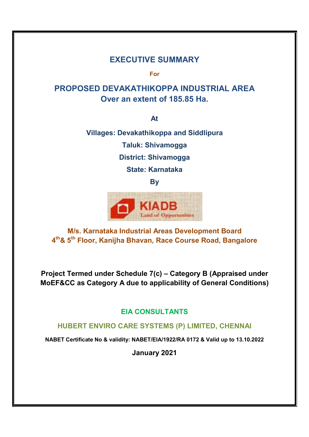# **EXECUTIVE SUMMARY**

**For**

# **PROPOSED DEVAKATHIKOPPA INDUSTRIAL AREA Over an extent of 185.85 Ha.**

**At**

**Villages: Devakathikoppa and Siddlipura Taluk: Shivamogga District: Shivamogga State: Karnataka**

**By**



**M/s. Karnataka Industrial Areas Development Board 4th& 5th Floor, Kanijha Bhavan, Race Course Road, Bangalore**

**Project Termed under Schedule 7(c) – Category B (Appraised under MoEF&CC as Category A due to applicability of General Conditions)**

# **EIA CONSULTANTS**

# **HUBERT ENVIRO CARE SYSTEMS (P) LIMITED, CHENNAI**

**NABET Certificate No & validity: NABET/EIA/1922/RA 0172 & Valid up to 13.10.2022**

**January 2021**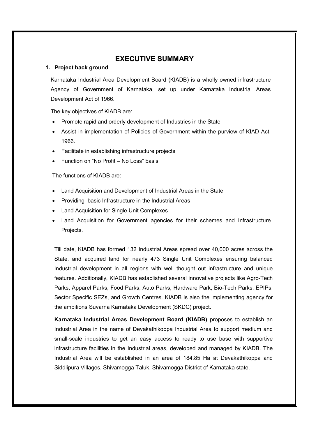# **EXECUTIVE SUMMARY**

#### **1. Project back ground**

Karnataka Industrial Area Development Board (KIADB) is a wholly owned infrastructure Agency of Government of Karnataka, set up under Karnataka Industrial Areas Development Act of 1966.

The key objectives of KIADB are:

- Promote rapid and orderly development of Industries in the State
- Assist in implementation of Policies of Government within the purview of KIAD Act, 1966.
- Facilitate in establishing infrastructure projects
- Function on "No Profit No Loss" basis

The functions of KIADB are:

- Land Acquisition and Development of Industrial Areas in the State
- **Providing basic Infrastructure in the Industrial Areas**
- Land Acquisition for Single Unit Complexes
- Land Acquisition for Government agencies for their schemes and Infrastructure Projects.

Till date, KIADB has formed 132 Industrial Areas spread over 40,000 acres across the State, and acquired land for nearly 473 Single Unit Complexes ensuring balanced Industrial development in all regions with well thought out infrastructure and unique features. Additionally, KIADB has established several innovative projects like Agro-Tech Parks, Apparel Parks, Food Parks, Auto Parks, Hardware Park, Bio-Tech Parks, EPIPs, Sector Specific SEZs, and Growth Centres. KIADB is also the implementing agency for the ambitions Suvarna Karnataka Development (SKDC) project.

**Karnataka Industrial Areas Development Board (KIADB)** proposes to establish an Industrial Area in the name of Devakathikoppa Industrial Area to support medium and small-scale industries to get an easy access to ready to use base with supportive infrastructure facilities in the Industrial areas, developed and managed by KIADB. The Industrial Area will be established in an area of 184.85 Ha at Devakathikoppa and Siddlipura Villages, Shivamogga Taluk, Shivamogga District of Karnataka state.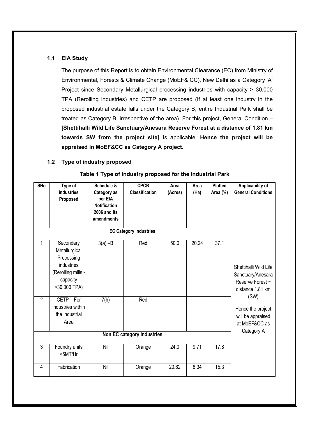#### **1.1 EIA Study**

The purpose of this Report is to obtain Environmental Clearance (EC) from Ministry of Environmental, Forests & Climate Change (MoEF& CC), New Delhi as a Category 'A' Project since Secondary Metallurgical processing industries with capacity > 30,000 TPA (Rerolling industries) and CETP are proposed (If at least one industry in the proposed industrial estate falls under the Category B, entire Industrial Park shall be treated as Category B, irrespective of the area). For this project, General Condition – **[Shettihalli Wild Life Sanctuary/Anesara Reserve Forest at a distance of 1.81 km towards SW from the project site] i**s applicable. **Hence the project will be appraised in MoEF&CC as Category A project.**

#### **1.2 Type of industry proposed**

| <b>SNo</b>                 | Type of<br><b>industries</b><br>Proposed                                                                 | Schedule &<br>Category as<br>per EIA<br><b>Notification</b><br>2006 and its | <b>CPCB</b><br><b>Classification</b> | Area<br>(Acres) | Area<br>(Ha) | <b>Plotted</b><br>Area (%) | Applicability of<br><b>General Conditions</b>                                      |
|----------------------------|----------------------------------------------------------------------------------------------------------|-----------------------------------------------------------------------------|--------------------------------------|-----------------|--------------|----------------------------|------------------------------------------------------------------------------------|
|                            |                                                                                                          | amendments                                                                  |                                      |                 |              |                            |                                                                                    |
|                            |                                                                                                          |                                                                             | <b>EC Category Industries</b>        |                 |              |                            |                                                                                    |
| 1                          | Secondary<br>Metallurgical<br>Processing<br>industries<br>(Rerolling mills -<br>capacity<br>>30,000 TPA) | $3(a) -B$                                                                   | Red                                  | 50.0            | 20.24        | 37.1                       | Shettihalli Wild Life<br>Sanctuary/Anesara<br>Reserve Forest ~<br>distance 1.81 km |
| $\overline{2}$             | CETP-For<br>industries within<br>the Industrial<br>Area                                                  | 7(h)                                                                        | Red                                  |                 |              |                            | (SW)<br>Hence the project<br>will be appraised<br>at MoEF&CC as<br>Category A      |
| Non EC category Industries |                                                                                                          |                                                                             |                                      |                 |              |                            |                                                                                    |
| 3                          | Foundry units<br><5MT/Hr                                                                                 | Nil                                                                         | Orange                               | 24.0            | 9.71         | 17.8                       |                                                                                    |
| $\overline{4}$             | Fabrication                                                                                              | Nil                                                                         | Orange                               | 20.62           | 8.34         | 15.3                       |                                                                                    |

#### **Table 1 Type of industry proposed for the Industrial Park**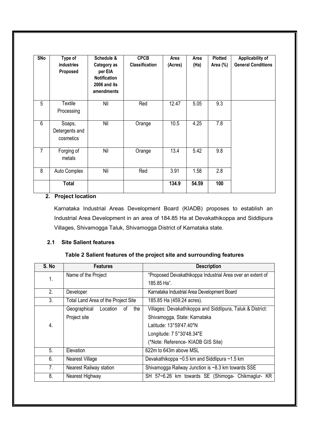| <b>SNo</b>     | Type of<br>industries<br>Proposed     | Schedule &<br>Category as<br>per EIA<br><b>Notification</b><br>2006 and its<br>amendments | <b>CPCB</b><br><b>Classification</b> | Area<br>(Acres) | Area<br>(Ha) | Plotted<br>Area (%) | Applicability of<br><b>General Conditions</b> |
|----------------|---------------------------------------|-------------------------------------------------------------------------------------------|--------------------------------------|-----------------|--------------|---------------------|-----------------------------------------------|
| 5              | Textile<br>Processing                 | Nil                                                                                       | Red                                  | 12.47           | 5.05         | 9.3                 |                                               |
| 6              | Soaps,<br>Detergents and<br>cosmetics | Nil                                                                                       | Orange                               | 10.5            | 4.25         | 7.8                 |                                               |
| $\overline{7}$ | Forging of<br>metals                  | Nil                                                                                       | Orange                               | 13.4            | 5.42         | 9.8                 |                                               |
| 8              | Auto Complex                          | Nil                                                                                       | Red                                  | 3.91            | 1.58         | 2.8                 |                                               |
|                | <b>Total</b>                          |                                                                                           |                                      | 134.9           | 54.59        | 100                 |                                               |

# **2. Project location**

Karnataka Industrial Areas Development Board (KIADB) proposes to establish an Industrial Area Development in an area of 184.85 Ha at Devakathikoppa and Siddlipura Villages, Shivamogga Taluk, Shivamogga District of Karnataka state.

# **2.1 Site Salient features**

## **Table 2 Salient features of the project site and surrounding features**

| S. No | <b>Features</b>                       | <b>Description</b>                                         |  |
|-------|---------------------------------------|------------------------------------------------------------|--|
| 1.    | Name of the Project                   | "Proposed Devakathikoppa Industrial Area over an extent of |  |
|       |                                       | 185.85 Ha".                                                |  |
| 2.    | Developer                             | Karnataka Industrial Area Development Board                |  |
| 3.    | Total Land Area of the Project Site   | 185.85 Ha (459.24 acres).                                  |  |
|       | Geographical<br>Location<br>the<br>0f | Villages: Devakathikoppa and Siddlipura, Taluk & District: |  |
|       | Project site                          | Shivamogga, State: Karnataka                               |  |
| 4.    |                                       | Latitude: 13°59'47.40"N                                    |  |
|       |                                       | Longitude: 7 5°30'48.34"E                                  |  |
|       |                                       | (*Note: Reference- KIADB GIS Site)                         |  |
| 5.    | Elevation                             | 622m to 643m above MSL                                     |  |
| 6.    | Nearest Village                       | Devakathikoppa ~0.5 km and Siddlipura ~1.5 km              |  |
| 7.    | <b>Nearest Railway station</b>        | Shivamogga Railway Junction is ~8.3 km towards SSE         |  |
| 8.    | Nearest Highway                       | SH 57~6.26 km towards SE (Shimoga- Chikmaglur- KR          |  |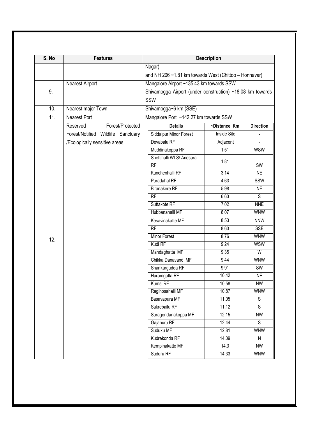| S. No             | <b>Features</b>                    | <b>Description</b>                                        |              |                  |  |  |
|-------------------|------------------------------------|-----------------------------------------------------------|--------------|------------------|--|--|
|                   |                                    | Nagar)                                                    |              |                  |  |  |
|                   |                                    | and NH 206 $~1.81$ km towards West (Chittoo - Honnavar)   |              |                  |  |  |
|                   | Nearest Airport                    | Mangalore Airport ~135.43 km towards SSW                  |              |                  |  |  |
| 9.                |                                    | Shivamogga Airport (under construction) ~18.08 km towards |              |                  |  |  |
|                   |                                    | SSW                                                       |              |                  |  |  |
| 10.               | Nearest major Town                 | Shivamogga~6 km (SSE)                                     |              |                  |  |  |
| $\overline{11}$ . | Nearest Port                       | Mangalore Port ~142.27 km towards SSW                     |              |                  |  |  |
|                   | Reserved<br>Forest/Protected       | <b>Details</b>                                            | ~Distance Km | <b>Direction</b> |  |  |
|                   | Forest/Notified Wildlife Sanctuary | Siddalpur Minor Forest                                    | Inside Site  |                  |  |  |
|                   | /Ecologically sensitive areas      | Devabalu RF                                               | Adjacent     |                  |  |  |
|                   |                                    | Muddinakoppa RF                                           | 1.51         | <b>WSW</b>       |  |  |
|                   |                                    | Shettihalli WLS/ Anesara                                  | 1.81         |                  |  |  |
|                   |                                    | <b>RF</b>                                                 |              | SW               |  |  |
|                   |                                    | Kunchenhalli RF                                           | 3.14         | NE               |  |  |
|                   |                                    | Puradahal RF                                              | 4.63         | SSW              |  |  |
|                   |                                    | <b>Biranakere RF</b>                                      | 5.98         | <b>NE</b>        |  |  |
|                   |                                    | $\overline{RF}$                                           | 6.63         | $\overline{s}$   |  |  |
|                   |                                    | Suttakote RF                                              | 7.02         | <b>NNE</b>       |  |  |
|                   |                                    | Hubbanahalli MF                                           | 8.07         | <b>WNW</b>       |  |  |
|                   |                                    | Kesavinakatte MF                                          | 8.53         | <b>NNW</b>       |  |  |
|                   |                                    | $\overline{RF}$                                           | 8.63         | <b>SSE</b>       |  |  |
| 12.               |                                    | Minor Forest                                              | 8.76         | <b>WNW</b>       |  |  |
|                   |                                    | Kudi RF                                                   | 9.24         | <b>WSW</b>       |  |  |
|                   |                                    | Mandaghatta MF                                            | 9.35         | W                |  |  |
|                   |                                    | Chikka Danavandi MF                                       | 9.44         | <b>WNW</b>       |  |  |
|                   |                                    | Shankargudda RF                                           | 9.91         | SW               |  |  |
|                   |                                    | Haramgatta RF                                             | 10.42        | <b>NE</b>        |  |  |
|                   |                                    | Kumsi RF                                                  | 10.58        | <b>NW</b>        |  |  |
|                   |                                    | Ragihosahalli MF                                          | 10.87        | <b>WNW</b>       |  |  |
|                   |                                    | Basavapura MF                                             | 11.05        | S                |  |  |
|                   |                                    | Sakrebailu RF                                             | 11.12        | $\overline{s}$   |  |  |
|                   |                                    | Suragondanakoppa MF                                       | 12.15        | <b>NW</b>        |  |  |
|                   |                                    | Gajanuru RF                                               | 12.44        | S                |  |  |
|                   |                                    | Suduku MF                                                 | 12.81        | <b>WNW</b>       |  |  |
|                   |                                    | Kudrekonda RF                                             | 14.09        | N                |  |  |
|                   |                                    | Kempinakatte MF                                           | 14.3         | NW               |  |  |
|                   |                                    | Suduru RF                                                 | 14.33        | <b>WNW</b>       |  |  |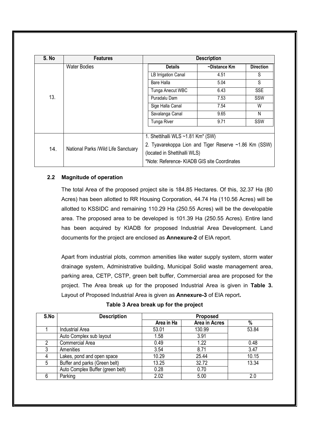| S. No | <b>Features</b>                      |                                               | <b>Description</b>                                    |                  |  |  |
|-------|--------------------------------------|-----------------------------------------------|-------------------------------------------------------|------------------|--|--|
|       | <b>Water Bodies</b>                  | <b>Details</b>                                | ~Distance Km                                          | <b>Direction</b> |  |  |
|       |                                      | LB Irrigation Canal                           | 4.51                                                  | S                |  |  |
|       |                                      | Bare Halla                                    | 5.04                                                  | S                |  |  |
|       |                                      | Tunga Anecut WBC                              | 6.43                                                  | <b>SSE</b>       |  |  |
| 13.   |                                      | Puradalu Dam                                  | 7.53                                                  | SSW              |  |  |
|       |                                      | Sige Halla Canal                              | 7.54                                                  | W                |  |  |
|       |                                      | Savalanga Canal                               | 9.65                                                  | N                |  |  |
|       |                                      | Tunga River                                   | 9.71                                                  | SSW              |  |  |
|       |                                      |                                               |                                                       |                  |  |  |
|       |                                      | 1. Shettihalli WLS ~1.81 Km <sup>*</sup> (SW) |                                                       |                  |  |  |
| 14.   |                                      |                                               | 2. Tyavarekoppa Lion and Tiger Reserve ~1.86 Km (SSW) |                  |  |  |
|       | National Parks / Wild Life Sanctuary | (located in Shettihalli WLS)                  |                                                       |                  |  |  |
|       |                                      | *Note: Reference- KIADB GIS site Coordinates  |                                                       |                  |  |  |

## **2.2 Magnitude of operation**

The total Area of the proposed project site is 184.85 Hectares. Of this, 32.37 Ha (80 Acres) has been allotted to RR Housing Corporation, 44.74 Ha (110.56 Acres) will be allotted to KSSIDC and remaining 110.29 Ha (250.55 Acres) will be the developable area. The proposed area to be developed is 101.39 Ha (250.55 Acres). Entire land has been acquired by KIADB for proposed Industrial Area Development. Land documents for the project are enclosed as **Annexure-2** of EIA report.

Apart from industrial plots, common amenities like water supply system, storm water drainage system, Administrative building, Municipal Solid waste management area, parking area, CETP, CSTP, green belt buffer, Commercial area are proposed for the project. The Area break up for the proposed Industrial Area is given in **Table 3.**  Layout of Proposed Industrial Area is given as **Annexure-3** of EIA report**.**

| Table 3 Area break up for the project |  |
|---------------------------------------|--|
|---------------------------------------|--|

| S.No | <b>Description</b>               | Proposed   |               |       |  |  |
|------|----------------------------------|------------|---------------|-------|--|--|
|      |                                  | Area in Ha | Area in Acres | $\%$  |  |  |
|      | <b>Industrial Area</b>           | 53.01      | 130.99        | 53.84 |  |  |
|      | Auto Complex sub layout          | 1.58       | 3.91          |       |  |  |
| 2    | <b>Commercial Area</b>           | 0.49       | 1.22          | 0.48  |  |  |
| 3    | Amenities                        | 3.54       | 8.71          | 3.47  |  |  |
|      | Lakes, pond and open space       | 10.29      | 25.44         | 10.15 |  |  |
| 5    | Buffer and parks (Green belt)    | 13.25      | 32.72         | 13.34 |  |  |
|      | Auto Complex Buffer (green belt) | 0.28       | 0.70          |       |  |  |
|      | Parking                          | 2.02       | 5.00          | 2.0   |  |  |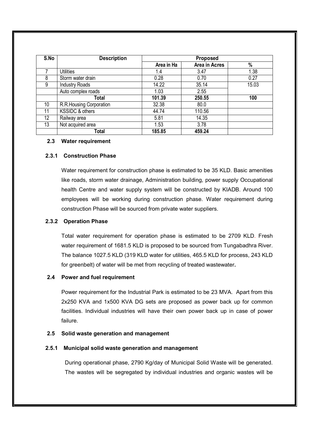| S.No            | <b>Description</b>      | <b>Proposed</b> |               |       |
|-----------------|-------------------------|-----------------|---------------|-------|
|                 |                         | Area in Ha      | Area in Acres | %     |
|                 | <b>Utilities</b>        | 1.4             | 3.47          | 1.38  |
| 8               | Storm water drain       | 0.28            | 0.70          | 0.27  |
| 9               | <b>Industry Roads</b>   | 14.22           | 35.14         | 15.03 |
|                 | Auto complex roads      | 1.03            | 2.55          |       |
|                 | <b>Total</b>            | 101.39          | 250.55        | 100   |
| 10 <sup>°</sup> | R.R.Housing Corporation | 32.38           | 80.0          |       |
| 11              | KSSIDC & others         | 44.74           | 110.56        |       |
| 12              | Railway area            | 5.81            | 14.35         |       |
| 13              | Not acquired area       | 1.53            | 3.78          |       |
|                 | Total                   | 185.85          | 459.24        |       |

#### **2.3 Water requirement**

#### **2.3.1 Construction Phase**

Water requirement for construction phase is estimated to be 35 KLD. Basic amenities like roads, storm water drainage, Administration building, power supply Occupational health Centre and water supply system will be constructed by KIADB. Around 100 employees will be working during construction phase. Water requirement during construction Phase will be sourced from private water suppliers.

#### **2.3.2 Operation Phase**

Total water requirement for operation phase is estimated to be 2709 KLD. Fresh water requirement of 1681.5 KLD is proposed to be sourced from Tungabadhra River. The balance 1027.5 KLD (319 KLD water for utilities, 465.5 KLD for process, 243 KLD for greenbelt) of water will be met from recycling of treated wastewater**.**

#### **2.4 Power and fuel requirement**

Power requirement for the Industrial Park is estimated to be 23 MVA. Apart from this 2x250 KVA and 1x500 KVA DG sets are proposed as power back up for common facilities. Individual industries will have their own power back up in case of power failure.

#### **2.5 Solid waste generation and management**

#### **2.5.1 Municipal solid waste generation and management**

During operational phase, 2790 Kg/day of Municipal Solid Waste will be generated. The wastes will be segregated by individual industries and organic wastes will be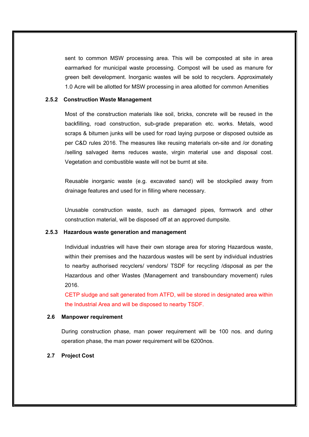sent to common MSW processing area. This will be composted at site in area earmarked for municipal waste processing. Compost will be used as manure for green belt development. Inorganic wastes will be sold to recyclers. Approximately 1.0 Acre will be allotted for MSW processing in area allotted for common Amenities

## **2.5.2 Construction Waste Management**

Most of the construction materials like soil, bricks, concrete will be reused in the backfilling, road construction, sub-grade preparation etc. works. Metals, wood scraps & bitumen junks will be used for road laying purpose or disposed outside as per C&D rules 2016. The measures like reusing materials on-site and /or donating /selling salvaged items reduces waste, virgin material use and disposal cost. Vegetation and combustible waste will not be burnt at site.

Reusable inorganic waste (e.g. excavated sand) will be stockpiled away from drainage features and used for in filling where necessary.

Unusable construction waste, such as damaged pipes, formwork and other construction material, will be disposed off at an approved dumpsite.

#### **2.5.3 Hazardous waste generation and management**

Individual industries will have their own storage area for storing Hazardous waste, within their premises and the hazardous wastes will be sent by individual industries to nearby authorised recyclers/ vendors/ TSDF for recycling /disposal as per the Hazardous and other Wastes (Management and transboundary movement) rules 2016.

CETP sludge and salt generated from ATFD, will be stored in designated area within the Industrial Area and will be disposed to nearby TSDF.

#### **2.6 Manpower requirement**

During construction phase, man power requirement will be 100 nos. and during operation phase, the man power requirement will be 6200nos.

#### **2.7 Project Cost**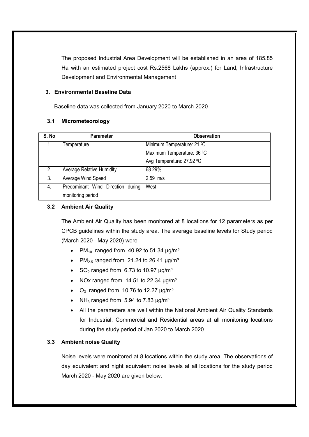The proposed Industrial Area Development will be established in an area of 185.85 Ha with an estimated project cost Rs.2568 Lakhs (approx.) for Land, Infrastructure Development and Environmental Management

## **3. Environmental Baseline Data**

Baseline data was collected from January 2020 to March 2020

## **3.1 Micrometeorology**

| S. No | <b>Parameter</b>                  | <b>Observation</b>         |
|-------|-----------------------------------|----------------------------|
| 1.    | Temperature                       | Minimum Temperature: 21 °C |
|       |                                   | Maximum Temperature: 36 °C |
|       |                                   | Avg Temperature: 27.92 °C  |
| 2.    | <b>Average Relative Humidity</b>  | 68.29%                     |
| 3.    | Average Wind Speed                | $2.59$ m/s                 |
| 4.    | Predominant Wind Direction during | West                       |
|       | monitoring period                 |                            |

## **3.2 Ambient Air Quality**

The Ambient Air Quality has been monitored at 8 locations for 12 parameters as per CPCB guidelines within the study area. The average baseline levels for Study period (March 2020 - May 2020) were

- PM<sub>10</sub> ranged from 40.92 to 51.34  $\mu$ g/m<sup>3</sup>
- PM<sub>2.5</sub> ranged from 21.24 to 26.41  $\mu$ g/m<sup>3</sup>
- $\bullet$  SO<sub>2</sub> ranged from 6.73 to 10.97  $\mu$ g/m<sup>3</sup>
- NOx ranged from 14.51 to 22.34  $\mu$ g/m<sup>3</sup>
- $O_3$  ranged from 10.76 to 12.27  $\mu$ g/m<sup>3</sup>
- NH<sub>3</sub> ranged from 5.94 to 7.83  $\mu$ g/m<sup>3</sup>
- All the parameters are well within the National Ambient Air Quality Standards for Industrial, Commercial and Residential areas at all monitoring locations during the study period of Jan 2020 to March 2020.

## **3.3 Ambient noise Quality**

Noise levels were monitored at 8 locations within the study area. The observations of day equivalent and night equivalent noise levels at all locations for the study period March 2020 - May 2020 are given below.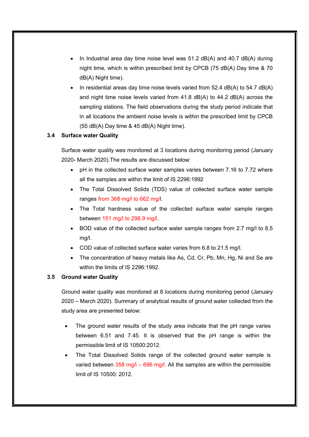- In Industrial area day time noise level was  $51.2$  dB(A) and  $40.7$  dB(A) during night time, which is within prescribed limit by CPCB (75 dB(A) Day time & 70 dB(A) Night time).
- In residential areas day time noise levels varied from  $52.4$  dB(A) to  $54.7$  dB(A) and night time noise levels varied from  $41.8$  dB(A) to  $44.2$  dB(A) across the sampling stations. The field observations during the study period indicate that in all locations the ambient noise levels is within the prescribed limit by CPCB (55 dB(A) Day time & 45 dB(A) Night time).

## **3.4 Surface water Quality**

Surface water quality was monitored at 3 locations during monitoring period (January 2020- March 2020).The results are discussed below:

- pH in the collected surface water samples varies between 7.16 to 7.72 where all the samples are within the limit of IS 2296:1992
- The Total Dissolved Solids (TDS) value of collected surface water sample ranges from 368 mg/l to 662 mg/l.
- The Total hardness value of the collected surface water sample ranges between 151 mg/l to 298.9 mg/l.
- BOD value of the collected surface water sample ranges from 2.7 mg/l to 8.5 mg/l.
- COD value of collected surface water varies from 6.8 to 21.5 mg/l.
- The concentration of heavy metals like As, Cd, Cr, Pb, Mn, Hg, Ni and Se are within the limits of IS 2296:1992.

## **3.5 Ground water Quality**

Ground water quality was monitored at 8 locations during monitoring period (January 2020 – March 2020). Summary of analytical results of ground water collected from the study area are presented below:

- The ground water results of the study area indicate that the pH range varies between 6.51 and 7.45. It is observed that the pH range is within the permissible limit of IS 10500:2012.
- The Total Dissolved Solids range of the collected ground water sample is varied between  $358 \text{ mg/l} - 696 \text{ mg/l}$ . All the samples are within the permissible limit of IS 10500: 2012.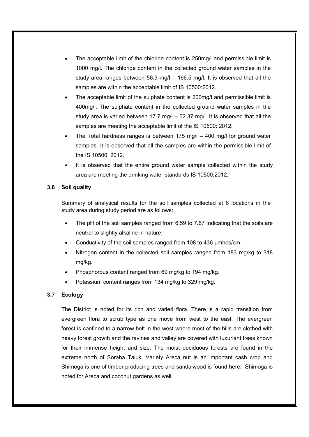- The acceptable limit of the chloride content is 250mg/l and permissible limit is 1000 mg/l. The chloride content in the collected ground water samples in the study area ranges between 56.9 mg/l  $-$  166.5 mg/l. It is observed that all the samples are within the acceptable limit of IS 10500:2012.
- The acceptable limit of the sulphate content is 200mg/l and permissible limit is 400mg/l. The sulphate content in the collected ground water samples in the study area is varied between 17.7 mg/l – 52.37 mg/l. It is observed that all the samples are meeting the acceptable limit of the IS 10500: 2012.
- The Total hardness ranges is between 175 mg/l 400 mg/l for ground water samples. It is observed that all the samples are within the permissible limit of the IS 10500: 2012.
- It is observed that the entire ground water sample collected within the study area are meeting the drinking water standards IS 10500:2012.

#### **3.6 Soil quality**

Summary of analytical results for the soil samples collected at 8 locations in the study area during study period are as follows:

- The pH of the soil samples ranged from 6.59 to 7.67 Indicating that the soils are neutral to slightly alkaline in nature.
- Conductivity of the soil samples ranged from 108 to 436 μmhos/cm.
- Nitrogen content in the collected soil samples ranged from 183 mg/kg to 318 mg/kg.
- Phosphorous content ranged from 69 mg/kg to 194 mg/kg.
- Potassium content ranges from 134 mg/kg to 329 mg/kg.

## **3.7 Ecology**

The District is noted for its rich and varied flora. There is a rapid transition from evergreen flora to scrub type as one move from west to the east. The evergreen forest is confined to a narrow belt in the west where most of the hills are clothed with heavy forest growth and the ravines and valley are covered with luxuriant trees known for their immense height and size. The moist deciduous forests are found in the extreme north of Soraba Taluk. Variety Areca nut is an important cash crop and Shimoga is one of timber producing trees and sandalwood is found here. Shimoga is noted for Areca and coconut gardens as well.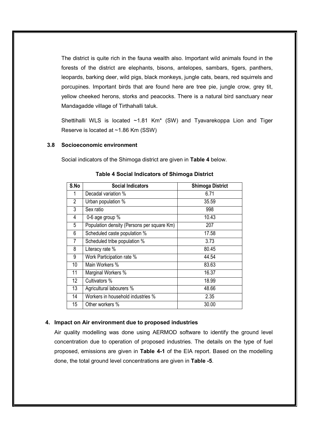The district is quite rich in the fauna wealth also. Important wild animals found in the forests of the district are elephants, bisons, antelopes, sambars, tigers, panthers, leopards, barking deer, wild pigs, black monkeys, jungle cats, bears, red squirrels and porcupines. Important birds that are found here are tree pie, jungle crow, grey tit, yellow cheeked herons, storks and peacocks. There is a natural bird sanctuary near Mandagadde village of Tirthahalli taluk.

Shettihalli WLS is located ~1.81 Km\* (SW) and Tyavarekoppa Lion and Tiger Reserve is located at ~1.86 Km (SSW)

## **3.8 Socioeconomic environment**

Social indicators of the Shimoga district are given in **Table 4** below.

| S.No             | <b>Social Indicators</b>                   | <b>Shimoga District</b> |
|------------------|--------------------------------------------|-------------------------|
|                  | Decadal variation %                        | 6.71                    |
| 2                | Urban population %                         | 35.59                   |
| 3                | Sex ratio                                  | 998                     |
| 4                | 0-6 age group %                            | 10.43                   |
| 5                | Population density (Persons per square Km) | 207                     |
| 6                | Scheduled caste population %               | 17.58                   |
| 7                | Scheduled tribe population %               | 3.73                    |
| 8                | Literacy rate %                            | 80.45                   |
| 9                | Work Participation rate %                  | 44.54                   |
| 10               | Main Workers %                             | 83.63                   |
| 11               | Marginal Workers %                         | 16.37                   |
| 12 <sup>°</sup>  | Cultivators %                              | 18.99                   |
| 13               | Agricultural labourers %                   | 48.66                   |
| 14               | Workers in household industries %          | 2.35                    |
| 15 <sup>15</sup> | Other workers %                            | 30.00                   |

#### **Table 4 Social Indicators of Shimoga District**

#### **4. Impact on Air environment due to proposed industries**

Air quality modelling was done using AERMOD software to identify the ground level concentration due to operation of proposed industries. The details on the type of fuel proposed, emissions are given in **Table 4-1** of the EIA report. Based on the modelling done, the total ground level concentrations are given in **Table -5**.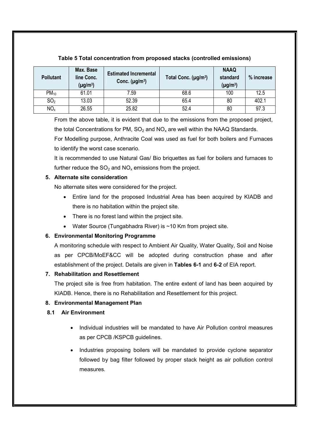| <b>Pollutant</b> | Max. Base<br>line Conc.<br>$(\mu g/m^3)$ | <b>Estimated Incremental</b><br>Conc. $(\mu g/m^3)$ | Total Conc. (µg/m <sup>3</sup> ) | <b>NAAQ</b><br>standard<br>$(\mu g/m^3)$ | % increase |
|------------------|------------------------------------------|-----------------------------------------------------|----------------------------------|------------------------------------------|------------|
| $PM_{10}$        | 61.01                                    | 7.59                                                | 68.6                             | 100                                      | 12.5       |
| SO <sub>2</sub>  | 13.03                                    | 52.39                                               | 65.4                             | 80                                       | 402.1      |
| NO <sub>x</sub>  | 26.55                                    | 25.82                                               | 52.4                             | 80                                       | 97.3       |

# **Table 5 Total concentration from proposed stacks (controlled emissions)**

From the above table, it is evident that due to the emissions from the proposed project, the total Concentrations for PM,  $SO_2$  and  $NO_x$  are well within the NAAQ Standards.

For Modelling purpose, Anthracite Coal was used as fuel for both boilers and Furnaces to identify the worst case scenario.

It is recommended to use Natural Gas/ Bio briquettes as fuel for boilers and furnaces to further reduce the  $SO_2$  and  $NO_x$  emissions from the project.

# **5. Alternate site consideration**

No alternate sites were considered for the project.

- Entire land for the proposed Industrial Area has been acquired by KIADB and there is no habitation within the project site.
- There is no forest land within the project site.
- Water Source (Tungabhadra River) is ~10 Km from project site.

# **6. Environmental Monitoring Programme**

A monitoring schedule with respect to Ambient Air Quality, Water Quality, Soil and Noise as per CPCB/MoEF&CC will be adopted during construction phase and after establishment of the project. Details are given in **Tables 6-1** and **6-2** of EIA report.

# **7. Rehabilitation and Resettlement**

The project site is free from habitation. The entire extent of land has been acquired by KIADB. Hence, there is no Rehabilitation and Resettlement for this project.

# **8. Environmental Management Plan**

# **8.1 Air Environment**

- Individual industries will be mandated to have Air Pollution control measures as per CPCB /KSPCB guidelines.
- Industries proposing boilers will be mandated to provide cyclone separator followed by bag filter followed by proper stack height as air pollution control measures.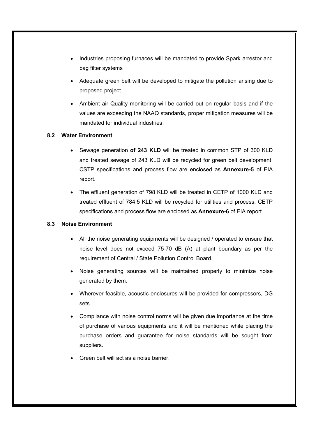- Industries proposing furnaces will be mandated to provide Spark arrestor and bag filter systems
- Adequate green belt will be developed to mitigate the pollution arising due to proposed project.
- Ambient air Quality monitoring will be carried out on regular basis and if the values are exceeding the NAAQ standards, proper mitigation measures will be mandated for individual industries.

# **8.2 Water Environment**

- Sewage generation **of 243 KLD** will be treated in common STP of 300 KLD and treated sewage of 243 KLD will be recycled for green belt development. CSTP specifications and process flow are enclosed as **Annexure-5** of EIA report.
- The effluent generation of 798 KLD will be treated in CETP of 1000 KLD and treated effluent of 784.5 KLD will be recycled for utilities and process. CETP specifications and process flow are enclosed as **Annexure-6** of EIA report.

## **8.3 Noise Environment**

- All the noise generating equipments will be designed / operated to ensure that noise level does not exceed 75-70 dB (A) at plant boundary as per the requirement of Central / State Pollution Control Board.
- Noise generating sources will be maintained properly to minimize noise generated by them.
- Wherever feasible, acoustic enclosures will be provided for compressors, DG sets.
- Compliance with noise control norms will be given due importance at the time of purchase of various equipments and it will be mentioned while placing the purchase orders and guarantee for noise standards will be sought from suppliers.
- Green belt will act as a noise barrier.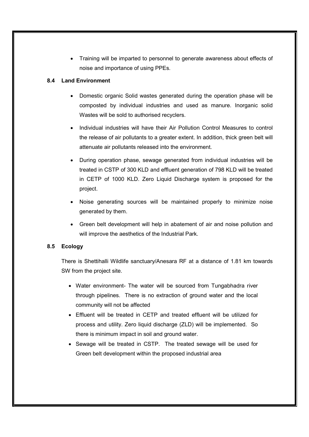Training will be imparted to personnel to generate awareness about effects of noise and importance of using PPEs.

# **8.4 Land Environment**

- Domestic organic Solid wastes generated during the operation phase will be composted by individual industries and used as manure. Inorganic solid Wastes will be sold to authorised recyclers.
- Individual industries will have their Air Pollution Control Measures to control the release of air pollutants to a greater extent. In addition, thick green belt will attenuate air pollutants released into the environment.
- During operation phase, sewage generated from individual industries will be treated in CSTP of 300 KLD and effluent generation of 798 KLD will be treated in CETP of 1000 KLD. Zero Liquid Discharge system is proposed for the project.
- Noise generating sources will be maintained properly to minimize noise generated by them.
- Green belt development will help in abatement of air and noise pollution and will improve the aesthetics of the Industrial Park.

## **8.5 Ecology**

There is Shettihalli Wildlife sanctuary/Anesara RF at a distance of 1.81 km towards SW from the project site.

- Water environment- The water will be sourced from Tungabhadra river through pipelines. There is no extraction of ground water and the local community will not be affected
- Effluent will be treated in CETP and treated effluent will be utilized for process and utility. Zero liquid discharge (ZLD) will be implemented. So there is minimum impact in soil and ground water.
- Sewage will be treated in CSTP. The treated sewage will be used for Green belt development within the proposed industrial area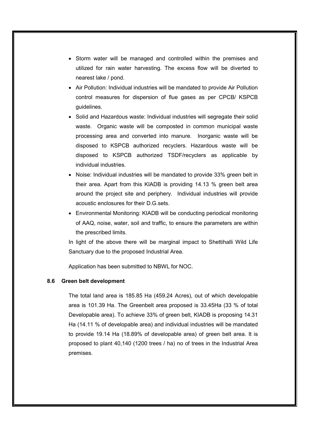- Storm water will be managed and controlled within the premises and utilized for rain water harvesting. The excess flow will be diverted to nearest lake / pond.
- Air Pollution: Individual industries will be mandated to provide Air Pollution control measures for dispersion of flue gases as per CPCB/ KSPCB guidelines.
- Solid and Hazardous waste: Individual industries will segregate their solid waste. Organic waste will be composted in common municipal waste processing area and converted into manure. Inorganic waste will be disposed to KSPCB authorized recyclers. Hazardous waste will be disposed to KSPCB authorized TSDF/recyclers as applicable by individual industries.
- Noise: Individual industries will be mandated to provide 33% green belt in their area. Apart from this KIADB is providing 14.13 % green belt area around the project site and periphery. Individual industries will provide acoustic enclosures for their D.G.sets.
- Environmental Monitoring: KIADB will be conducting periodical monitoring of AAQ, noise, water, soil and traffic, to ensure the parameters are within the prescribed limits.

In light of the above there will be marginal impact to Shettihalli Wild Life Sanctuary due to the proposed Industrial Area.

Application has been submitted to NBWL for NOC.

#### **8.6 Green belt development**

The total land area is 185.85 Ha (459.24 Acres), out of which developable area is 101.39 Ha. The Greenbelt area proposed is 33.45Ha (33 % of total Developable area). To achieve 33% of green belt, KIADB is proposing 14.31 Ha (14.11 % of developable area) and individual industries will be mandated to provide 19.14 Ha (18.89% of developable area) of green belt area. It is proposed to plant 40,140 (1200 trees / ha) no of trees in the Industrial Area premises.